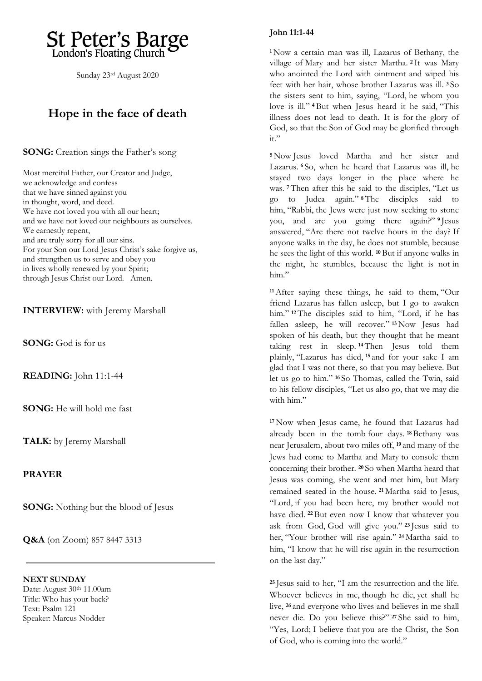

Sunday 23rd August 2020

## **Hope in the face of death**

**SONG:** Creation sings the Father's song

Most merciful Father, our Creator and Judge, we acknowledge and confess that we have sinned against you in thought, word, and deed. We have not loved you with all our heart; and we have not loved our neighbours as ourselves. We earnestly repent, and are truly sorry for all our sins. For your Son our Lord Jesus Christ's sake forgive us, and strengthen us to serve and obey you in lives wholly renewed by your Spirit; through Jesus Christ our Lord. Amen.

**INTERVIEW:** with Jeremy Marshall

**SONG:** God is for us

**READING:** John 11:1-44

**SONG:** He will hold me fast

**TALK:** by Jeremy Marshall

**PRAYER**

**SONG:** Nothing but the blood of Jesus

**Q&A** (on Zoom) 857 8447 3313

**NEXT SUNDAY**  Date: August 30th 11.00am Title: Who has your back? Text: Psalm 121 Speaker: Marcus Nodder

## **John 11:1-44**

**<sup>1</sup>** Now a certain man was ill, Lazarus of Bethany, the village of Mary and her sister Martha. **<sup>2</sup>** It was Mary who anointed the Lord with ointment and wiped his feet with her hair, whose brother Lazarus was ill. **<sup>3</sup>** So the sisters sent to him, saying, "Lord, he whom you love is ill." **<sup>4</sup>** But when Jesus heard it he said, "This illness does not lead to death. It is for the glory of God, so that the Son of God may be glorified through it."

**<sup>5</sup>** Now Jesus loved Martha and her sister and Lazarus. **<sup>6</sup>** So, when he heard that Lazarus was ill, he stayed two days longer in the place where he was. **<sup>7</sup>** Then after this he said to the disciples, "Let us go to Judea again." **<sup>8</sup>** The disciples said to him, "Rabbi, the Jews were just now seeking to stone you, and are you going there again?" **<sup>9</sup>** Jesus answered, "Are there not twelve hours in the day? If anyone walks in the day, he does not stumble, because he sees the light of this world. **<sup>10</sup>** But if anyone walks in the night, he stumbles, because the light is not in him."

**<sup>11</sup>**After saying these things, he said to them, "Our friend Lazarus has fallen asleep, but I go to awaken him." **<sup>12</sup>** The disciples said to him, "Lord, if he has fallen asleep, he will recover." **<sup>13</sup>** Now Jesus had spoken of his death, but they thought that he meant taking rest in sleep. **<sup>14</sup>**Then Jesus told them plainly, "Lazarus has died, **<sup>15</sup>** and for your sake I am glad that I was not there, so that you may believe. But let us go to him." **<sup>16</sup>** So Thomas, called the Twin, said to his fellow disciples, "Let us also go, that we may die with him."

**<sup>17</sup>** Now when Jesus came, he found that Lazarus had already been in the tomb four days. **<sup>18</sup>**Bethany was near Jerusalem, about two miles off, **<sup>19</sup>** and many of the Jews had come to Martha and Mary to console them concerning their brother. **<sup>20</sup>** So when Martha heard that Jesus was coming, she went and met him, but Mary remained seated in the house. **<sup>21</sup>** Martha said to Jesus, "Lord, if you had been here, my brother would not have died. **<sup>22</sup>** But even now I know that whatever you ask from God, God will give you." **<sup>23</sup>** Jesus said to her, "Your brother will rise again." **<sup>24</sup>** Martha said to him, "I know that he will rise again in the resurrection on the last day."

**<sup>25</sup>** Jesus said to her, "I am the resurrection and the life. Whoever believes in me, though he die, yet shall he live, **<sup>26</sup>** and everyone who lives and believes in me shall never die. Do you believe this?" **<sup>27</sup>** She said to him, "Yes, Lord; I believe that you are the Christ, the Son of God, who is coming into the world."